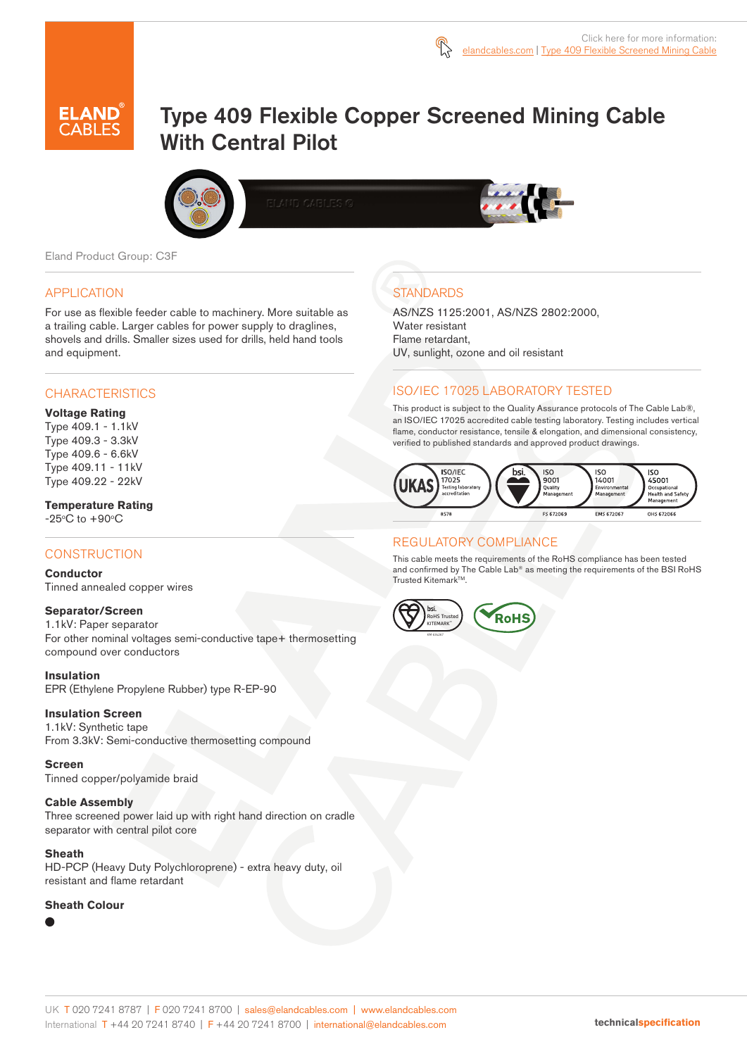

# Type 409 Flexible Copper Screened Mining Cable With Central Pilot





Eland Product Group: C3F

## APPLICATION

For use as flexible feeder cable to machinery. More suitable as a trailing cable. Larger cables for power supply to draglines, shovels and drills. Smaller sizes used for drills, held hand tools and equipment.

# **CHARACTERISTICS**

#### **Voltage Rating**

Type 409.1 - 1.1kV Type 409.3 - 3.3kV Type 409.6 - 6.6kV Type 409.11 - 11kV Type 409.22 - 22kV

# **Temperature Rating**

 $-25^{\circ}$ C to  $+90^{\circ}$ C

# **CONSTRUCTION**

#### **Conductor**

Tinned annealed copper wires

#### **Separator/Screen**

1.1kV: Paper separator For other nominal voltages semi-conductive tape+ thermosetting compound over conductors

#### **Insulation**

EPR (Ethylene Propylene Rubber) type R-EP-90

#### **Insulation Screen**

1.1kV: Synthetic tape From 3.3kV: Semi-conductive thermosetting compound

#### **Screen**

Tinned copper/polyamide braid

#### **Cable Assembly**

Three screened power laid up with right hand direction on cradle separator with central pilot core

#### **Sheath**

HD-PCP (Heavy Duty Polychloroprene) - extra heavy duty, oil resistant and flame retardant

#### **Sheath Colour**

# **STANDARDS**

AS/NZS 1125:2001, AS/NZS 2802:2000, Water resistant Flame retardant, UV, sunlight, ozone and oil resistant

# ISO/IEC 17025 LABORATORY TESTED

This product is subject to the Quality Assurance protocols of The Cable Lab®, an ISO/IEC 17025 accredited cable testing laboratory. Testing includes vertical flame, conductor resistance, tensile & elongation, and dimensional consistency, verified to published standards and approved product drawings.



## REGULATORY COMPLIANCE

This cable meets the requirements of the RoHS compliance has been tested and confirmed by The Cable Lab® as meeting the requirements of the BSI RoHS Trusted Kitemark™.